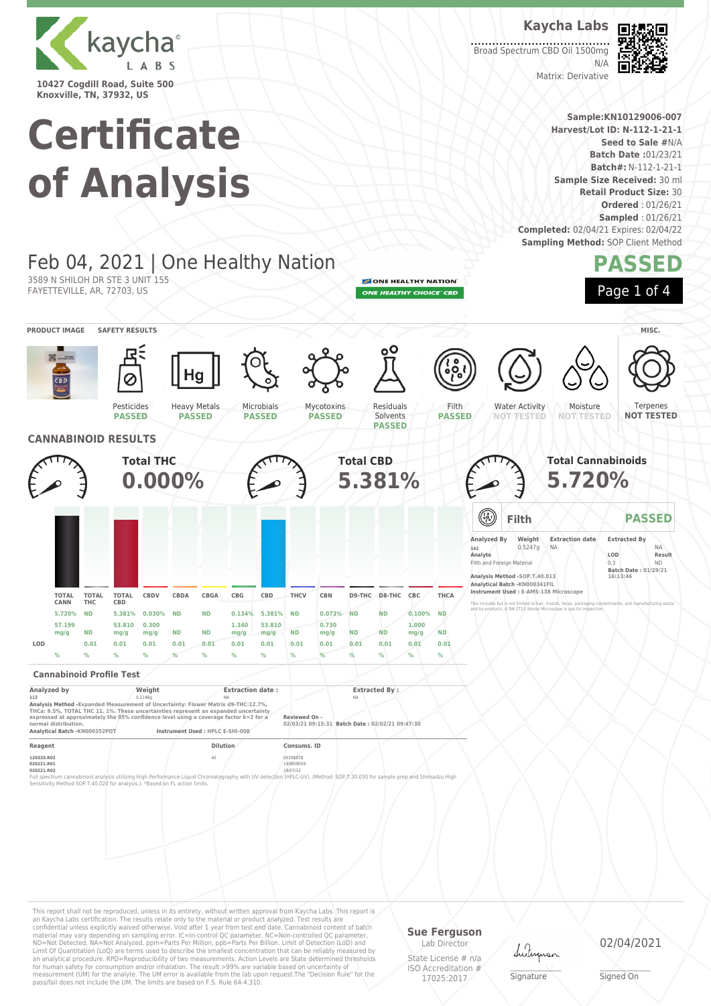

**Knoxville, TN, 37932, US**

# **Certificate of Analysis**

Feb 04, 2021 | One Healthy Nation

Heavy Metals **PASSED**

**Kaycha Labs** Broad Spectrum CBD Oil 1500mg



Matrix: Derivative

**Sample:KN10129006-007 Harvest/Lot ID: N-112-1-21-1 Seed to Sale #**N/A **Batch Date :**01/23/21 **Batch#:** N-112-1-21-1 **Sample Size Received:** 30 ml **Retail Product Size:** 30 **Ordered** : 01/26/21 **Sampled** : 01/26/21 **Completed:** 02/04/21 Expires: 02/04/22 **Sampling Method: SOP Client Method** 

 $N/L$ 

### **PASSED**

ONE HEALTHY NATION ONE HEALTHY CHOICE" CBD

> Filth **PASSED**

Residuals Solvents **PASSED**



**PRODUCT IMAGE SAFETY RESULTS MISC.**



Water Activity **NOT TESTED NOT TESTED**

Moisture

Terpenes **NOT TESTED**



Pesticides **PASSED**

3589 N SHILOH DR STE 3 UNIT 155 FAYETTEVILLE, AR, 72703, US

|     |                      |                            |                     | <b>Total THC</b><br>$0.000\%$ |           |             |               |                |             |               | <b>Total CBD</b><br>5.381% |                   |               |             |                               |                                                                                                                   | <b>Total Cannabinoids</b><br>5.720%                                                                       |                                                                       |                            |
|-----|----------------------|----------------------------|---------------------|-------------------------------|-----------|-------------|---------------|----------------|-------------|---------------|----------------------------|-------------------|---------------|-------------|-------------------------------|-------------------------------------------------------------------------------------------------------------------|-----------------------------------------------------------------------------------------------------------|-----------------------------------------------------------------------|----------------------------|
|     |                      |                            |                     |                               |           |             |               |                |             |               |                            |                   |               |             | ۰                             | Filth                                                                                                             |                                                                                                           |                                                                       | <b>PASSED</b>              |
|     |                      |                            |                     |                               |           |             |               |                |             |               |                            |                   |               |             | Analyzed By<br>142<br>Analyte | Weight<br>0.5247g<br>Filth and Foreign Material<br>Analysis Method -SOP.T.40.013<br>Analytical Batch -KN000341FIL | <b>Extraction date</b><br><b>NA</b><br>Instrument Used: E-AMS-138 Microscope                              | <b>Extracted By</b><br>LOD<br>0.3<br>Batch Date: 01/29/21<br>16:13:46 | <b>NA</b><br>Result<br>ND. |
|     | <b>TOTAL</b><br>CANN | <b>TOTAL</b><br><b>THC</b> | <b>TOTAL</b><br>CBD | CBDV                          | CBDA      | <b>CBGA</b> | CBG           | CBD            | <b>THCV</b> | <b>CBN</b>    |                            | D9-THC D8-THC CBC |               | <b>THCA</b> |                               |                                                                                                                   | This includes but is not limited to hair, insects, feces, packaging contaminants, and manufacturing waste |                                                                       |                            |
|     | 5.720%               | <b>ND</b>                  | 5.381%              | 0.030%                        | <b>ND</b> | <b>ND</b>   | 0.134%        | 5.381% ND      |             | 0.073%        | <b>ND</b>                  | <b>ND</b>         | 0.100%        | <b>ND</b>   |                               |                                                                                                                   | and by-products. A SW-2T13 Stereo Microscope is use for inspection.                                       |                                                                       |                            |
|     | 57.199<br>mq/q       | <b>ND</b>                  | 53,810<br>mg/g      | 0.300<br>mg/g                 | <b>ND</b> | <b>ND</b>   | 1.340<br>mg/g | 53,810<br>mg/g | <b>ND</b>   | 0.730<br>mg/g | <b>ND</b>                  | ND                | 1,000<br>mg/g | <b>ND</b>   |                               |                                                                                                                   |                                                                                                           |                                                                       |                            |
| LOD |                      | 0.01                       | 0.01                | 0.01                          | 0.01      | 0.01        | 0.01          | 0.01           | 0.01        | 0.01          | 0.01                       | 0.01              | 0.01          | 0.01        |                               |                                                                                                                   |                                                                                                           |                                                                       |                            |
|     | $\frac{9}{6}$        | $\frac{9}{6}$              | %                   | %                             |           | $\%$        | $\%$          | $\frac{9}{6}$  |             |               |                            | $\frac{9}{6}$     | %             | $\%$        |                               |                                                                                                                   |                                                                                                           |                                                                       |                            |

Microbials **PASSED**

Mycotoxins **PASSED**

#### **Cannabinoid Profile Test**

| Analyzed by                                                                                                                                                                                                                                                                                | Weight  | <b>Extraction date:</b>          | <b>Extracted By:</b>                                             |  |
|--------------------------------------------------------------------------------------------------------------------------------------------------------------------------------------------------------------------------------------------------------------------------------------------|---------|----------------------------------|------------------------------------------------------------------|--|
| 113                                                                                                                                                                                                                                                                                        | 0.2148g | <b>NA</b>                        | <b>NA</b>                                                        |  |
| Analysis Method - Expanded Measurement of Uncertainty: Flower Matrix d9-THC:12.7%.<br>THCa: 9.5%, TOTAL THC 11, 1%. These uncertainties represent an expanded uncertainty<br>expressed at approximately the 95% confidence level using a coverage factor k=2 for a<br>normal distribution. |         |                                  | Reviewed On -<br>02/03/21 09:15:31 Batch Date: 02/02/21 09:47:30 |  |
| Analytical Batch -KN000352POT                                                                                                                                                                                                                                                              |         | Instrument Used : HPLC E-SHI-008 |                                                                  |  |
| Reagent                                                                                                                                                                                                                                                                                    |         | <b>Dilution</b>                  | Consums, ID                                                      |  |
|                                                                                                                                                                                                                                                                                            |         |                                  |                                                                  |  |

**120320.R02** 40 00298878 **020221.R01** 190909059 **020221.R02** 19/07/15

Full spectrum cannabinoid analysis utilizing High Performance Liquid Chromatography with UV detection (HPLC-UV). (Method: SOP,T.30.050 for sample prep and Shimadzu High<br>Sensitivity Method SOP.T-40.020 for analysis.). "Base

This report shall not be reproduced, unless in its entirety, without written approval from Kaycha Labs. This report is an Kaycha Labs certification. The results relate only to the material or product analyzed. Test results are<br>confidential unless explicitly waived otherwise. Void after 1 year from test end date. Cannabinoid content of bat Limit Of Quantitation (LoQ) are terms used to describe the smallest concentration that can be reliably measured by an analytical procedure. RPD=Reproducibility of two measurements. Action Levels are State determined thresholds<br>for human safety for consumption and/or inhalation. The result >99% are variable based on uncertainty of<br>measu

#### **Sue Ferguson**

Lab Director State License # n/a ISO Accreditation # 17025:2017

dutin

\_\_\_\_\_\_\_\_\_\_\_\_\_\_\_\_\_\_\_ Signature

02/04/2021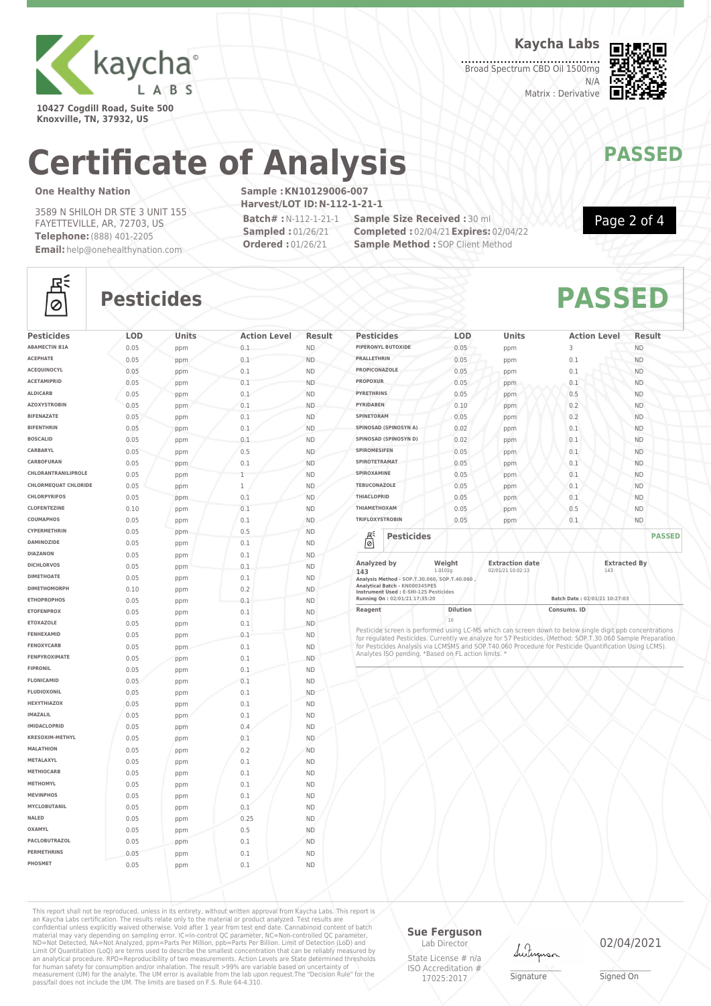

**10427 Cogdill Road, Suite 500 Knoxville, TN, 37932, US**

**Kaycha Labs**

Broad Spectrum CBD Oil 1500mg N/A Matrix : Derivative



## **Certificate of Analysis MANAWAPASSED**

#### **One Healthy Nation**

3589 N SHILOH DR STE 3 UNIT 155 FAYETTEVILLE, AR, 72703, US **Telephone:**(888) 401-2205 **Email:** help@onehealthynation.com **Sample :KN10129006-007 Harvest/LOT ID:N-112-1-21-1**

**Batch# :**N-112-1-21-1 **Sampled :** 01/26/21 **Ordered :** 01/26/21

**Sample Size Received :** 30 ml **Completed :** 02/04/21**Expires:** 02/04/22 **Sample Method : SOP Client Method** 



Page 2 of 4

### 조  $\circ$

### **Pesticides PASSED**

| <b>Pesticides</b>           | LOD  | Units | <b>Action Level</b> | Result    |
|-----------------------------|------|-------|---------------------|-----------|
| <b>ABAMECTIN B1A</b>        | 0.05 | ppm   | 0.1                 | ND.       |
| <b>ACEPHATE</b>             | 0.05 | ppm   | 0.1                 | <b>ND</b> |
| <b>ACEOUINOCYL</b>          | 0.05 | ppm   | 0.1                 | <b>ND</b> |
| <b>ACETAMIPRID</b>          | 0.05 | ppm   | 0.1                 | <b>ND</b> |
| <b>ALDICARB</b>             | 0.05 | ppm   | 0.1                 | <b>ND</b> |
| <b>AZOXYSTROBIN</b>         | 0.05 | ppm   | 0.1                 | <b>ND</b> |
| <b>BIFENAZATE</b>           | 0.05 | ppm   | 0.1                 | <b>ND</b> |
| <b>BIFENTHRIN</b>           | 0.05 | ppm   | 0.1                 | <b>ND</b> |
| <b>BOSCALID</b>             | 0.05 | ppm   | 0.1                 | <b>ND</b> |
| CARBARYL                    | 0.05 | ppm   | 0.5                 | <b>ND</b> |
| CARBOFURAN                  | 0.05 | ppm   | 0.1                 | <b>ND</b> |
| CHLORANTRANILIPROLE         | 0.05 | ppm   | 1                   | <b>ND</b> |
| <b>CHLORMEQUAT CHLORIDE</b> | 0.05 | ppm   | $\mathbf 1$         | <b>ND</b> |
| <b>CHLORPYRIFOS</b>         | 0.05 | ppm   | 0.1                 | <b>ND</b> |
| <b>CLOFENTEZINE</b>         | 0.10 | ppm   | 0.1                 | <b>ND</b> |
| COUMAPHOS                   | 0.05 | ppm   | 0.1                 | <b>ND</b> |
| CYPERMETHRIN                | 0.05 | ppm   | 0.5                 | <b>ND</b> |
| DAMINOZIDE                  | 0.05 | ppm   | 0.1                 | <b>ND</b> |
| <b>DIAZANON</b>             | 0.05 | ppm   | 0.1                 | <b>ND</b> |
| <b>DICHLORVOS</b>           | 0.05 | ppm   | 0.1                 | <b>ND</b> |
| <b>DIMETHOATE</b>           | 0.05 | ppm   | 0.1                 | <b>ND</b> |
| <b>DIMETHOMORPH</b>         | 0.10 | ppm   | 0.2                 | <b>ND</b> |
| <b>ETHOPROPHOS</b>          | 0.05 | ppm   | 0.1                 | <b>ND</b> |
| <b>ETOFENPROX</b>           | 0.05 | ppm   | 0.1                 | <b>ND</b> |
| <b>ETOXAZOLE</b>            | 0.05 | ppm   | 0.1                 | <b>ND</b> |
| FENHEXAMID                  | 0.05 | ppm   | 0.1                 | <b>ND</b> |
| <b>FENOXYCARB</b>           | 0.05 | ppm   | 0.1                 | <b>ND</b> |
| <b>FENPYROXIMATE</b>        | 0.05 | ppm   | 0.1                 | <b>ND</b> |
| <b>FIPRONIL</b>             | 0.05 | ppm   | 0.1                 | <b>ND</b> |
| <b>FLONICAMID</b>           | 0.05 | ppm   | 0.1                 | <b>ND</b> |
| <b>FLUDIOXONIL</b>          | 0.05 | ppm   | 0.1                 | <b>ND</b> |
| <b>HEXYTHIAZOX</b>          | 0.05 | ppm   | 0.1                 | <b>ND</b> |
| <b>IMAZALIL</b>             | 0.05 | ppm   | 0.1                 | <b>ND</b> |
| <b>IMIDACLOPRID</b>         | 0.05 | ppm   | 0.4                 | <b>ND</b> |
| KRESOXIM-METHYL             | 0.05 | ppm   | 0.1                 | <b>ND</b> |
| <b>MALATHION</b>            | 0.05 | ppm   | 0.2                 | <b>ND</b> |
| METALAXYL                   | 0.05 | ppm   | 0.1                 | <b>ND</b> |
| <b>METHIOCARB</b>           | 0.05 | ppm   | 0.1                 | <b>ND</b> |
| <b>METHOMYL</b>             | 0.05 | ppm   | 0.1                 | <b>ND</b> |
| <b>MEVINPHOS</b>            | 0.05 | ppm   | 0.1                 | <b>ND</b> |
| MYCLOBUTANIL                | 0.05 | ppm   | 0.1                 | <b>ND</b> |
| NALED                       | 0.05 | ppm   | 0.25                | <b>ND</b> |
| OXAMYL                      | 0.05 | ppm   | 0.5                 | <b>ND</b> |
| <b>PACLOBUTRAZOL</b>        | 0.05 | ppm   | 0.1                 | <b>ND</b> |
| <b>PERMETHRINS</b>          | 0.05 | ppm   | 0.1                 | <b>ND</b> |
|                             |      |       |                     |           |

| <b>Pesticides</b>                                                   | <b>LOD</b>        | <b>Units</b>                                | <b>Action Level</b> | Result              |
|---------------------------------------------------------------------|-------------------|---------------------------------------------|---------------------|---------------------|
| PIPERONYL BUTOXIDE                                                  | 0.05              | ppm                                         | 3                   | <b>ND</b>           |
| <b>PRALLETHRIN</b>                                                  | 0.05              | ppm                                         | 0.1                 | <b>ND</b>           |
| <b>PROPICONAZOLE</b>                                                | 0.05              | ppm                                         | 0.1                 | <b>ND</b>           |
| <b>PROPOXUR</b>                                                     | 0.05              | ppm                                         | 0.1                 | <b>ND</b>           |
| <b>PYRETHRINS</b>                                                   | 0.05              | ppm                                         | 0.5                 | <b>ND</b>           |
| <b>PYRIDABEN</b>                                                    | 0.10              | ppm                                         | 0.2                 | <b>ND</b>           |
| SPINETORAM                                                          | 0.05              | ppm                                         | 0.2                 | <b>ND</b>           |
| SPINOSAD (SPINOSYN A)                                               | 0.02              | ppm                                         | 0.1                 | <b>ND</b>           |
| SPINOSAD (SPINOSYN D)                                               | 0.02              | ppm                                         | 0.1                 | <b>ND</b>           |
| <b>SPIROMESIFEN</b>                                                 | 0.05              | ppm                                         | 0.1                 | <b>ND</b>           |
| SPIROTETRAMAT                                                       | 0.05              | ppm                                         | 0.1                 | ND.                 |
| SPIROXAMINE                                                         | 0.05              | ppm                                         | 0.1                 | <b>ND</b>           |
| <b>TEBUCONAZOLE</b>                                                 | 0.05              | ppm                                         | 0.1                 | <b>ND</b>           |
| <b>THIACLOPRID</b>                                                  | 0.05              | ppm                                         | 0.1                 | <b>ND</b>           |
| ΤΗΙΑΜΕΤΗΟΧΑΜ                                                        | 0.05              | ppm                                         | 0.5                 | <b>ND</b>           |
| <b>TRIFLOXYSTROBIN</b>                                              | 0.05              | ppm                                         | 0.1                 | <b>ND</b>           |
| 븮<br><b>Pesticides</b>                                              |                   |                                             |                     | <b>PASSED</b>       |
| Analyzed by<br>143<br>Analysis Method - SOP.T.30.060, SOP.T.40.060, | Weight<br>1.0101q | <b>Extraction date</b><br>02/01/21 10:02:13 | 143                 | <b>Extracted By</b> |

**Analytical Batch - KN000345PES Instrument Used : E-SHI-125 Pesticides**

**Running On : 02/01/21 17:35:20 Batch Date : 02/01/21 10:27:03 Reagent Dilution Dilution Consums. ID** 

20<br>Pesticide screen is performed using LC-MS which can screen down to below single digit ppb concentrations<br>for regulated Pesticides. Currently we analyze for 57 Pesticides. (Method: SOP.T.30.060 Sample Preparation<br>for Pes

This report shall not be reproduced, unless in its entirety, without written approval from Kaycha Labs. This report is<br>an Kaycha Labs certification. The results relate only to the materal or product analyzed. Test results

### **Sue Ferguson**

Lab Director State License # n/a ISO Accreditation # 17025:2017

Lutun

\_\_\_\_\_\_\_\_\_\_\_\_\_\_\_\_\_\_\_ Signature

02/04/2021

\_\_\_\_\_\_\_\_\_\_\_\_\_\_\_\_\_\_\_ Signed On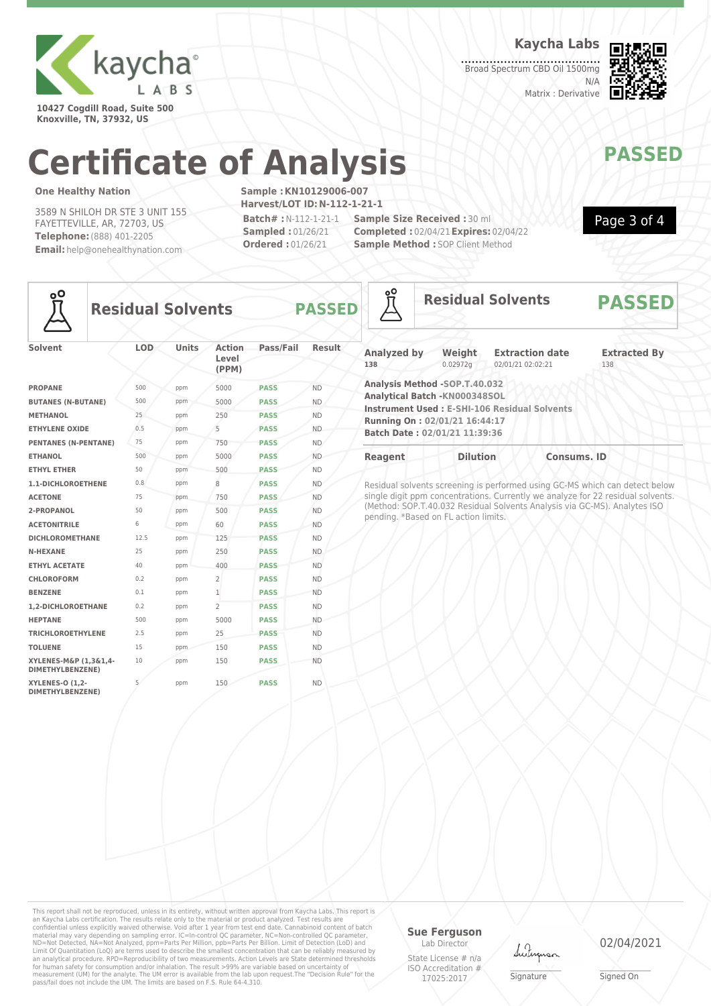

**10427 Cogdill Road, Suite 500 Knoxville, TN, 37932, US**

**Kaycha Labs**

**Broad Spectrum CBD Oil 1500mg** N/A Matrix : Derivative



Page 3 of 4

# **Certificate of Analysis MANAWAPASSED**

#### **One Healthy Nation**

3589 N SHILOH DR STE 3 UNIT 155 FAYETTEVILLE, AR, 72703, US **Telephone:**(888) 401-2205 **Email:** help@onehealthynation.com **Sample :KN10129006-007 Harvest/LOT ID:N-112-1-21-1 Batch# :**N-112-1-21-1

**Sampled :** 01/26/21 **Ordered :** 01/26/21

**Sample Size Received :** 30 ml **Completed :** 02/04/21**Expires:** 02/04/22 **Sample Method : SOP Client Method** 



### **Residual Solvents PASSED**

| Solvent                                    | <b>LOD</b> | <b>Units</b> | <b>Action</b><br>Level<br>(PPM) | Pass/Fail   | <b>Result</b> |
|--------------------------------------------|------------|--------------|---------------------------------|-------------|---------------|
| <b>PROPANE</b>                             | 500        | ppm          | 5000                            | <b>PASS</b> | <b>ND</b>     |
| <b>BUTANES (N-BUTANE)</b>                  | 500        | ppm          | 5000                            | <b>PASS</b> | <b>ND</b>     |
| <b>METHANOL</b>                            | 25         | ppm          | 250                             | <b>PASS</b> | <b>ND</b>     |
| <b>ETHYLENE OXIDE</b>                      | 0.5        | ppm          | 5                               | <b>PASS</b> | <b>ND</b>     |
| <b>PENTANES (N-PENTANE)</b>                | 75         | ppm          | 750                             | <b>PASS</b> | <b>ND</b>     |
| <b>ETHANOL</b>                             | 500        | ppm          | 5000                            | <b>PASS</b> | <b>ND</b>     |
| <b>ETHYL ETHER</b>                         | 50         | ppm          | 500                             | <b>PASS</b> | <b>ND</b>     |
| 1.1-DICHLOROETHENE                         | 0.8        | ppm          | 8                               | <b>PASS</b> | <b>ND</b>     |
| <b>ACETONE</b>                             | 75         | ppm          | 750                             | <b>PASS</b> | <b>ND</b>     |
| 2-PROPANOL                                 | 50         | ppm          | 500                             | <b>PASS</b> | <b>ND</b>     |
| <b>ACETONITRILE</b>                        | 6          | ppm          | 60                              | <b>PASS</b> | <b>ND</b>     |
| <b>DICHLOROMETHANE</b>                     | 12.5       | ppm          | 125                             | <b>PASS</b> | <b>ND</b>     |
| <b>N-HEXANE</b>                            | 25         | ppm          | 250                             | <b>PASS</b> | <b>ND</b>     |
| <b>ETHYL ACETATE</b>                       | 40         | ppm          | 400                             | <b>PASS</b> | <b>ND</b>     |
| <b>CHLOROFORM</b>                          | 0.2        | ppm          | $\overline{2}$                  | <b>PASS</b> | <b>ND</b>     |
| <b>BENZENE</b>                             | 0.1        | ppm          | $\mathbf{1}$                    | <b>PASS</b> | <b>ND</b>     |
| 1.2-DICHLOROETHANE                         | 0.2        | ppm          | $\overline{2}$                  | <b>PASS</b> | <b>ND</b>     |
| <b>HEPTANE</b>                             | 500        | ppm          | 5000                            | <b>PASS</b> | <b>ND</b>     |
| <b>TRICHLOROETHYLENE</b>                   | 2.5        | ppm          | 25                              | <b>PASS</b> | <b>ND</b>     |
| <b>TOLUENE</b>                             | 15         | ppm          | 150                             | <b>PASS</b> | <b>ND</b>     |
| XYLENES-M&P (1,3&1,4-<br>DIMETHYLBENZENE)  | 10         | ppm          | 150                             | <b>PASS</b> | <b>ND</b>     |
| <b>XYLENES-O (1,2-</b><br>DIMETHYLBENZENE) | 5          | ppm          | 150                             | <b>PASS</b> | <b>ND</b>     |

| <u>°6</u>                 |                                                                                                                                  | <b>Residual Solvents</b>                            | <b>PASSED</b>              |  |  |
|---------------------------|----------------------------------------------------------------------------------------------------------------------------------|-----------------------------------------------------|----------------------------|--|--|
| <b>Analyzed by</b><br>138 | Weight<br>0.02972q                                                                                                               | <b>Extraction date</b><br>02/01/21 02:02:21         | <b>Extracted By</b><br>138 |  |  |
|                           | Analysis Method -SOP.T.40.032<br>Analytical Batch -KN000348SOL<br>Running On: 02/01/21 16:44:17<br>Batch Date: 02/01/21 11:39:36 | <b>Instrument Used: E-SHI-106 Residual Solvents</b> |                            |  |  |
| <b>Reagent</b>            | <b>Dilution</b>                                                                                                                  | <b>Consums. ID</b>                                  |                            |  |  |

Residual solvents screening is performed using GC-MS which can detect below single digit ppm concentrations. Currently we analyze for 22 residual solvents. (Method: SOP.T.40.032 Residual Solvents Analysis via GC-MS). Analytes ISO pending. \*Based on FL action limits.

This report shall not be reproduced, unless in its entirety, without written approval from Kaycha Labs. This report is<br>an Kaycha Labs certification. The results relate only to the materal or product analyzed. Test results

#### **Sue Ferguson**

Lab Director State License # n/a ISO Accreditation # 17025:2017

Lutina

\_\_\_\_\_\_\_\_\_\_\_\_\_\_\_\_\_\_\_ Signature

02/04/2021

\_\_\_\_\_\_\_\_\_\_\_\_\_\_\_\_\_\_\_ Signed On